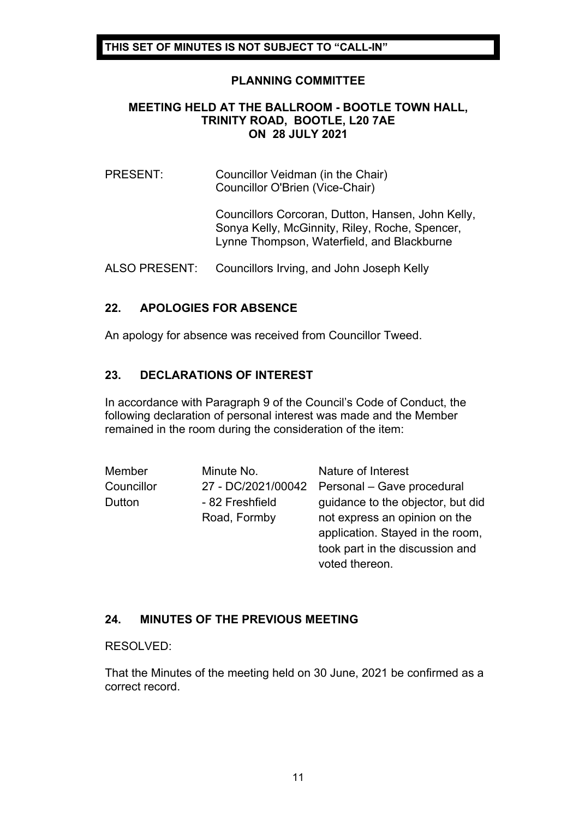#### **PLANNING COMMITTEE**

#### **MEETING HELD AT THE BALLROOM - BOOTLE TOWN HALL, TRINITY ROAD, BOOTLE, L20 7AE ON 28 JULY 2021**

#### PRESENT: Councillor Veidman (in the Chair) Councillor O'Brien (Vice-Chair)

Councillors Corcoran, Dutton, Hansen, John Kelly, Sonya Kelly, McGinnity, Riley, Roche, Spencer, Lynne Thompson, Waterfield, and Blackburne

ALSO PRESENT: Councillors Irving, and John Joseph Kelly

### **22. APOLOGIES FOR ABSENCE**

An apology for absence was received from Councillor Tweed.

### **23. DECLARATIONS OF INTEREST**

In accordance with Paragraph 9 of the Council's Code of Conduct, the following declaration of personal interest was made and the Member remained in the room during the consideration of the item:

| Member     | Minute No.      | Nature of Interest                            |
|------------|-----------------|-----------------------------------------------|
| Councillor |                 | 27 - DC/2021/00042 Personal - Gave procedural |
| Dutton     | - 82 Freshfield | guidance to the objector, but did             |
|            | Road, Formby    | not express an opinion on the                 |
|            |                 | application. Stayed in the room,              |
|            |                 | took part in the discussion and               |
|            |                 | voted thereon.                                |

# **24. MINUTES OF THE PREVIOUS MEETING**

#### RESOLVED:

That the Minutes of the meeting held on 30 June, 2021 be confirmed as a correct record.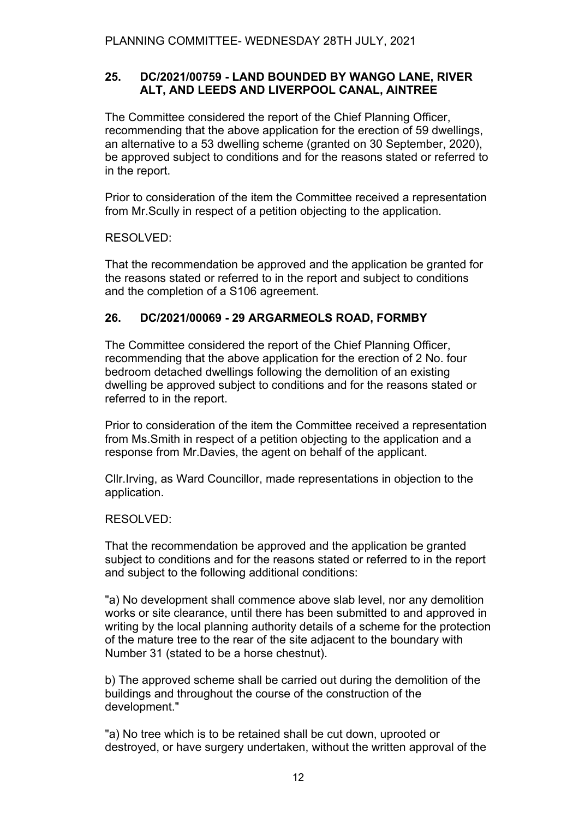## **25. DC/2021/00759 - LAND BOUNDED BY WANGO LANE, RIVER ALT, AND LEEDS AND LIVERPOOL CANAL, AINTREE**

The Committee considered the report of the Chief Planning Officer, recommending that the above application for the erection of 59 dwellings, an alternative to a 53 dwelling scheme (granted on 30 September, 2020), be approved subject to conditions and for the reasons stated or referred to in the report.

Prior to consideration of the item the Committee received a representation from Mr.Scully in respect of a petition objecting to the application.

### RESOLVED:

That the recommendation be approved and the application be granted for the reasons stated or referred to in the report and subject to conditions and the completion of a S106 agreement.

# **26. DC/2021/00069 - 29 ARGARMEOLS ROAD, FORMBY**

The Committee considered the report of the Chief Planning Officer, recommending that the above application for the erection of 2 No. four bedroom detached dwellings following the demolition of an existing dwelling be approved subject to conditions and for the reasons stated or referred to in the report.

Prior to consideration of the item the Committee received a representation from Ms.Smith in respect of a petition objecting to the application and a response from Mr.Davies, the agent on behalf of the applicant.

Cllr.Irving, as Ward Councillor, made representations in objection to the application.

#### RESOLVED:

That the recommendation be approved and the application be granted subject to conditions and for the reasons stated or referred to in the report and subject to the following additional conditions:

"a) No development shall commence above slab level, nor any demolition works or site clearance, until there has been submitted to and approved in writing by the local planning authority details of a scheme for the protection of the mature tree to the rear of the site adjacent to the boundary with Number 31 (stated to be a horse chestnut).

b) The approved scheme shall be carried out during the demolition of the buildings and throughout the course of the construction of the development."

"a) No tree which is to be retained shall be cut down, uprooted or destroyed, or have surgery undertaken, without the written approval of the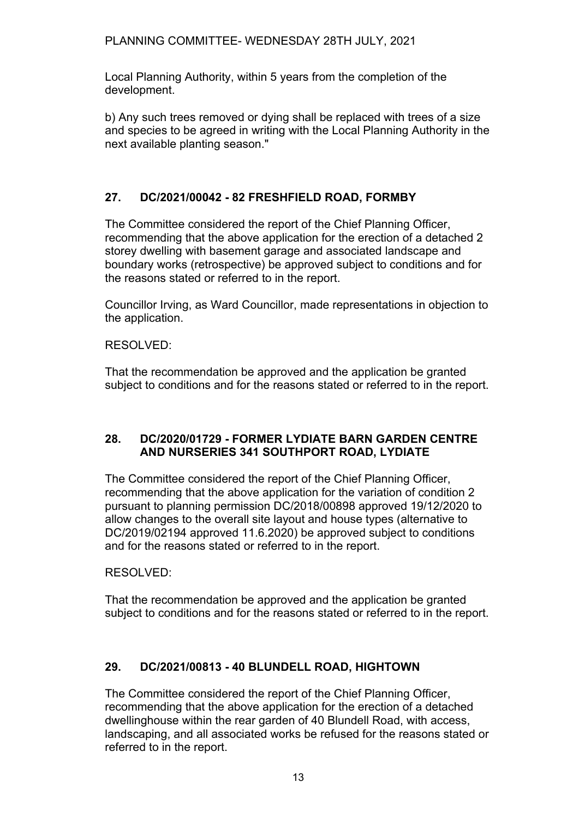PLANNING COMMITTEE- WEDNESDAY 28TH JULY, 2021

Local Planning Authority, within 5 years from the completion of the development.

b) Any such trees removed or dying shall be replaced with trees of a size and species to be agreed in writing with the Local Planning Authority in the next available planting season."

# **27. DC/2021/00042 - 82 FRESHFIELD ROAD, FORMBY**

The Committee considered the report of the Chief Planning Officer, recommending that the above application for the erection of a detached 2 storey dwelling with basement garage and associated landscape and boundary works (retrospective) be approved subject to conditions and for the reasons stated or referred to in the report.

Councillor Irving, as Ward Councillor, made representations in objection to the application.

### RESOLVED:

That the recommendation be approved and the application be granted subject to conditions and for the reasons stated or referred to in the report.

#### **28. DC/2020/01729 - FORMER LYDIATE BARN GARDEN CENTRE AND NURSERIES 341 SOUTHPORT ROAD, LYDIATE**

The Committee considered the report of the Chief Planning Officer, recommending that the above application for the variation of condition 2 pursuant to planning permission DC/2018/00898 approved 19/12/2020 to allow changes to the overall site layout and house types (alternative to DC/2019/02194 approved 11.6.2020) be approved subject to conditions and for the reasons stated or referred to in the report.

RESOLVED:

That the recommendation be approved and the application be granted subject to conditions and for the reasons stated or referred to in the report.

# **29. DC/2021/00813 - 40 BLUNDELL ROAD, HIGHTOWN**

The Committee considered the report of the Chief Planning Officer, recommending that the above application for the erection of a detached dwellinghouse within the rear garden of 40 Blundell Road, with access, landscaping, and all associated works be refused for the reasons stated or referred to in the report.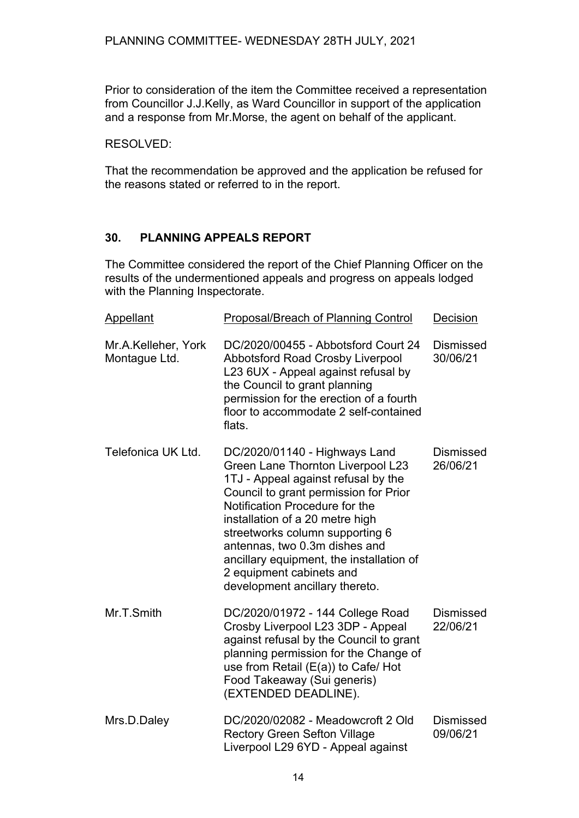Prior to consideration of the item the Committee received a representation from Councillor J.J.Kelly, as Ward Councillor in support of the application and a response from Mr.Morse, the agent on behalf of the applicant.

RESOLVED:

That the recommendation be approved and the application be refused for the reasons stated or referred to in the report.

# **30. PLANNING APPEALS REPORT**

The Committee considered the report of the Chief Planning Officer on the results of the undermentioned appeals and progress on appeals lodged with the Planning Inspectorate.

| Appellant                            | <b>Proposal/Breach of Planning Control</b>                                                                                                                                                                                                                                                                                                                                                            | Decision                     |
|--------------------------------------|-------------------------------------------------------------------------------------------------------------------------------------------------------------------------------------------------------------------------------------------------------------------------------------------------------------------------------------------------------------------------------------------------------|------------------------------|
| Mr.A.Kelleher, York<br>Montague Ltd. | DC/2020/00455 - Abbotsford Court 24<br><b>Abbotsford Road Crosby Liverpool</b><br>L23 6UX - Appeal against refusal by<br>the Council to grant planning<br>permission for the erection of a fourth<br>floor to accommodate 2 self-contained<br>flats.                                                                                                                                                  | <b>Dismissed</b><br>30/06/21 |
| Telefonica UK Ltd.                   | DC/2020/01140 - Highways Land<br>Green Lane Thornton Liverpool L23<br>1TJ - Appeal against refusal by the<br>Council to grant permission for Prior<br>Notification Procedure for the<br>installation of a 20 metre high<br>streetworks column supporting 6<br>antennas, two 0.3m dishes and<br>ancillary equipment, the installation of<br>2 equipment cabinets and<br>development ancillary thereto. | <b>Dismissed</b><br>26/06/21 |
| Mr.T.Smith                           | DC/2020/01972 - 144 College Road<br>Crosby Liverpool L23 3DP - Appeal<br>against refusal by the Council to grant<br>planning permission for the Change of<br>use from Retail (E(a)) to Cafe/ Hot<br>Food Takeaway (Sui generis)<br>(EXTENDED DEADLINE).                                                                                                                                               | <b>Dismissed</b><br>22/06/21 |
| Mrs.D.Daley                          | DC/2020/02082 - Meadowcroft 2 Old<br><b>Rectory Green Sefton Village</b><br>Liverpool L29 6YD - Appeal against                                                                                                                                                                                                                                                                                        | Dismissed<br>09/06/21        |